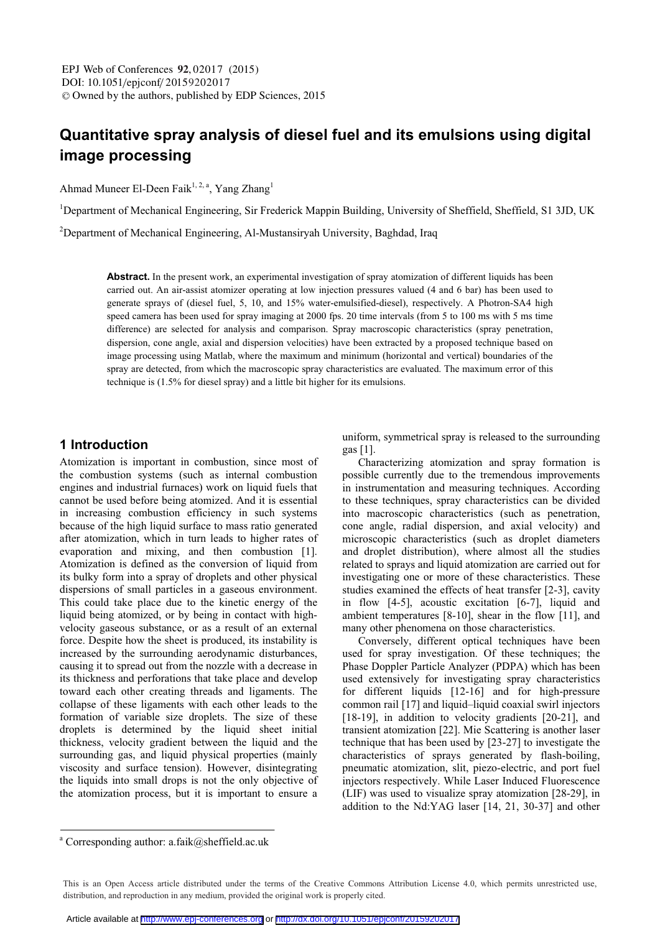# **Quantitative spray analysis of diesel fuel and its emulsions using digital image processing**

Ahmad Muneer El-Deen Faik<sup>1, 2, a</sup>, Yang Zhang<sup>1</sup>

<sup>1</sup>Department of Mechanical Engineering, Sir Frederick Mappin Building, University of Sheffield, Sheffield, S1 3JD, UK

<sup>2</sup>Department of Mechanical Engineering, Al-Mustansiryah University, Baghdad, Iraq

**Abstract.** In the present work, an experimental investigation of spray atomization of different liquids has been carried out. An air-assist atomizer operating at low injection pressures valued (4 and 6 bar) has been used to generate sprays of (diesel fuel, 5, 10, and 15% water-emulsified-diesel), respectively. A Photron-SA4 high speed camera has been used for spray imaging at 2000 fps. 20 time intervals (from 5 to 100 ms with 5 ms time difference) are selected for analysis and comparison. Spray macroscopic characteristics (spray penetration, dispersion, cone angle, axial and dispersion velocities) have been extracted by a proposed technique based on image processing using Matlab, where the maximum and minimum (horizontal and vertical) boundaries of the spray are detected, from which the macroscopic spray characteristics are evaluated. The maximum error of this technique is (1.5% for diesel spray) and a little bit higher for its emulsions.

#### **1 Introduction**

Atomization is important in combustion, since most of the combustion systems (such as internal combustion engines and industrial furnaces) work on liquid fuels that cannot be used before being atomized. And it is essential in increasing combustion efficiency in such systems because of the high liquid surface to mass ratio generated after atomization, which in turn leads to higher rates of evaporation and mixing, and then combustion [1]. Atomization is defined as the conversion of liquid from its bulky form into a spray of droplets and other physical dispersions of small particles in a gaseous environment. This could take place due to the kinetic energy of the liquid being atomized, or by being in contact with highvelocity gaseous substance, or as a result of an external force. Despite how the sheet is produced, its instability is increased by the surrounding aerodynamic disturbances, causing it to spread out from the nozzle with a decrease in its thickness and perforations that take place and develop toward each other creating threads and ligaments. The collapse of these ligaments with each other leads to the formation of variable size droplets. The size of these droplets is determined by the liquid sheet initial thickness, velocity gradient between the liquid and the surrounding gas, and liquid physical properties (mainly viscosity and surface tension). However, disintegrating the liquids into small drops is not the only objective of the atomization process, but it is important to ensure a

uniform, symmetrical spray is released to the surrounding gas [1].

Characterizing atomization and spray formation is possible currently due to the tremendous improvements in instrumentation and measuring techniques. According to these techniques, spray characteristics can be divided into macroscopic characteristics (such as penetration, cone angle, radial dispersion, and axial velocity) and microscopic characteristics (such as droplet diameters and droplet distribution), where almost all the studies related to sprays and liquid atomization are carried out for investigating one or more of these characteristics. These studies examined the effects of heat transfer [2-3], cavity in flow [4-5], acoustic excitation [6-7], liquid and ambient temperatures [8-10], shear in the flow [11], and many other phenomena on those characteristics.

Conversely, different optical techniques have been used for spray investigation. Of these techniques; the Phase Doppler Particle Analyzer (PDPA) which has been used extensively for investigating spray characteristics for different liquids [12-16] and for high-pressure common rail [17] and liquid–liquid coaxial swirl injectors [18-19], in addition to velocity gradients [20-21], and transient atomization [22]. Mie Scattering is another laser technique that has been used by [23-27] to investigate the characteristics of sprays generated by flash-boiling, pneumatic atomization, slit, piezo-electric, and port fuel injectors respectively. While Laser Induced Fluorescence (LIF) was used to visualize spray atomization [28-29], in addition to the Nd:YAG laser [14, 21, 30-37] and other

a Corresponding author: a.faik@sheffield.ac.uk

This is an Open Access article distributed under the terms of the Creative Commons Attribution License 4.0, which permits unrestricted use, distribution, and reproduction in any medium, provided the original work is properly cited.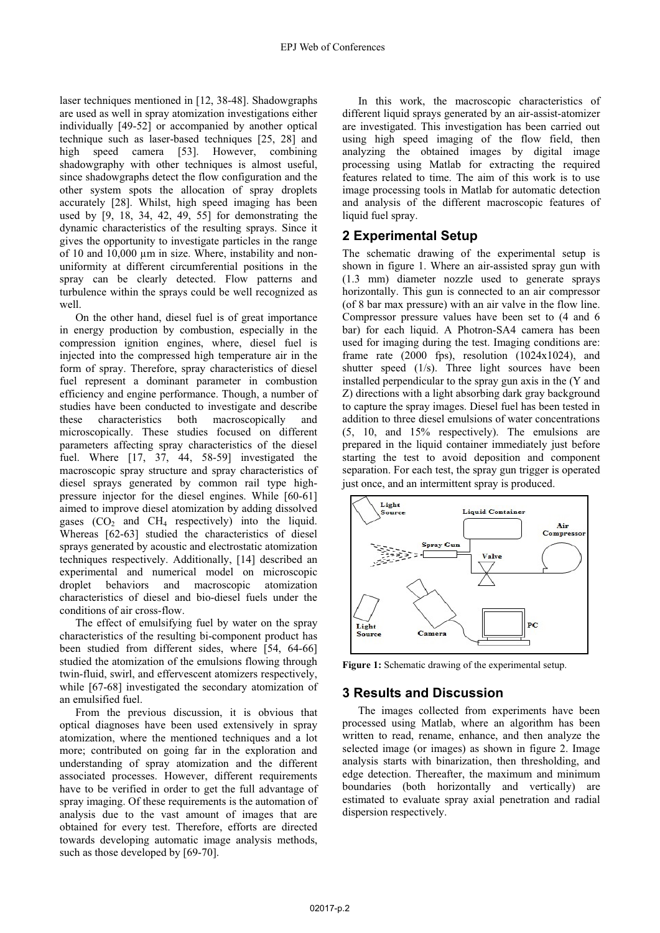laser techniques mentioned in [12, 38-48]. Shadowgraphs are used as well in spray atomization investigations either individually [49-52] or accompanied by another optical technique such as laser-based techniques [25, 28] and high speed camera [53]. However, combining shadowgraphy with other techniques is almost useful, since shadowgraphs detect the flow configuration and the other system spots the allocation of spray droplets accurately [28]. Whilst, high speed imaging has been used by [9, 18, 34, 42, 49, 55] for demonstrating the dynamic characteristics of the resulting sprays. Since it gives the opportunity to investigate particles in the range of 10 and 10,000 μm in size. Where, instability and nonuniformity at different circumferential positions in the spray can be clearly detected. Flow patterns and turbulence within the sprays could be well recognized as well.

On the other hand, diesel fuel is of great importance in energy production by combustion, especially in the compression ignition engines, where, diesel fuel is injected into the compressed high temperature air in the form of spray. Therefore, spray characteristics of diesel fuel represent a dominant parameter in combustion efficiency and engine performance. Though, a number of studies have been conducted to investigate and describe these characteristics both macroscopically and microscopically. These studies focused on different parameters affecting spray characteristics of the diesel fuel. Where [17, 37, 44, 58-59] investigated the macroscopic spray structure and spray characteristics of diesel sprays generated by common rail type highpressure injector for the diesel engines. While [60-61] aimed to improve diesel atomization by adding dissolved gases  $(CO_2$  and  $CH_4$  respectively) into the liquid. Whereas [62-63] studied the characteristics of diesel sprays generated by acoustic and electrostatic atomization techniques respectively. Additionally, [14] described an experimental and numerical model on microscopic droplet behaviors and macroscopic atomization characteristics of diesel and bio-diesel fuels under the conditions of air cross-flow.

The effect of emulsifying fuel by water on the spray characteristics of the resulting bi-component product has been studied from different sides, where [54, 64-66] studied the atomization of the emulsions flowing through twin-fluid, swirl, and effervescent atomizers respectively, while [67-68] investigated the secondary atomization of an emulsified fuel.

From the previous discussion, it is obvious that optical diagnoses have been used extensively in spray atomization, where the mentioned techniques and a lot more; contributed on going far in the exploration and understanding of spray atomization and the different associated processes. However, different requirements have to be verified in order to get the full advantage of spray imaging. Of these requirements is the automation of analysis due to the vast amount of images that are obtained for every test. Therefore, efforts are directed towards developing automatic image analysis methods, such as those developed by [69-70].

In this work, the macroscopic characteristics of different liquid sprays generated by an air-assist-atomizer are investigated. This investigation has been carried out using high speed imaging of the flow field, then analyzing the obtained images by digital image processing using Matlab for extracting the required features related to time. The aim of this work is to use image processing tools in Matlab for automatic detection and analysis of the different macroscopic features of liquid fuel spray.

# **2 Experimental Setup**

The schematic drawing of the experimental setup is shown in figure 1. Where an air-assisted spray gun with (1.3 mm) diameter nozzle used to generate sprays horizontally. This gun is connected to an air compressor (of 8 bar max pressure) with an air valve in the flow line. Compressor pressure values have been set to (4 and 6 bar) for each liquid. A Photron-SA4 camera has been used for imaging during the test. Imaging conditions are: frame rate (2000 fps), resolution (1024x1024), and shutter speed (1/s). Three light sources have been installed perpendicular to the spray gun axis in the (Y and Z) directions with a light absorbing dark gray background to capture the spray images. Diesel fuel has been tested in addition to three diesel emulsions of water concentrations (5, 10, and 15% respectively). The emulsions are prepared in the liquid container immediately just before starting the test to avoid deposition and component separation. For each test, the spray gun trigger is operated just once, and an intermittent spray is produced.



**Figure 1:** Schematic drawing of the experimental setup.

# **3 Results and Discussion**

The images collected from experiments have been processed using Matlab, where an algorithm has been written to read, rename, enhance, and then analyze the selected image (or images) as shown in figure 2. Image analysis starts with binarization, then thresholding, and edge detection. Thereafter, the maximum and minimum boundaries (both horizontally and vertically) are estimated to evaluate spray axial penetration and radial dispersion respectively.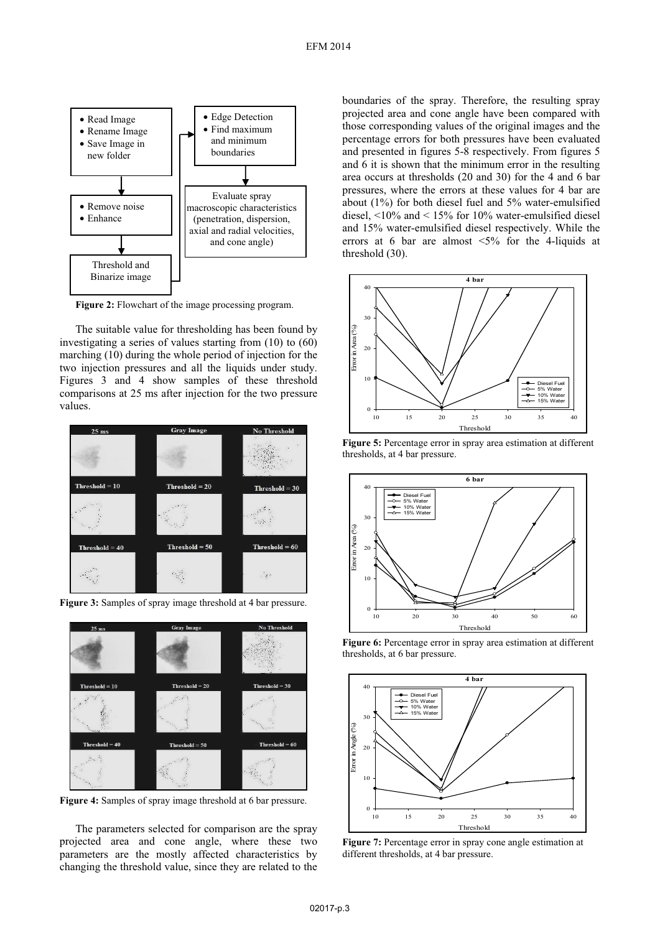

**Figure 2:** Flowchart of the image processing program.

The suitable value for thresholding has been found by investigating a series of values starting from (10) to (60) marching (10) during the whole period of injection for the two injection pressures and all the liquids under study. Figures 3 and 4 show samples of these threshold comparisons at 25 ms after injection for the two pressure values.





**Figure 3:** Samples of spray image threshold at 4 bar pressure.

**Figure 4:** Samples of spray image threshold at 6 bar pressure.

The parameters selected for comparison are the spray projected area and cone angle, where these two parameters are the mostly affected characteristics by changing the threshold value, since they are related to the

boundaries of the spray. Therefore, the resulting spray projected area and cone angle have been compared with those corresponding values of the original images and the percentage errors for both pressures have been evaluated and presented in figures 5-8 respectively. From figures 5 and 6 it is shown that the minimum error in the resulting area occurs at thresholds (20 and 30) for the 4 and 6 bar pressures, where the errors at these values for 4 bar are about (1%) for both diesel fuel and 5% water-emulsified diesel, <10% and < 15% for 10% water-emulsified diesel and 15% water-emulsified diesel respectively. While the errors at 6 bar are almost <5% for the 4-liquids at threshold (30).







**Figure 6:** Percentage error in spray area estimation at different thresholds, at 6 bar pressure.



**Figure 7:** Percentage error in spray cone angle estimation at different thresholds, at 4 bar pressure.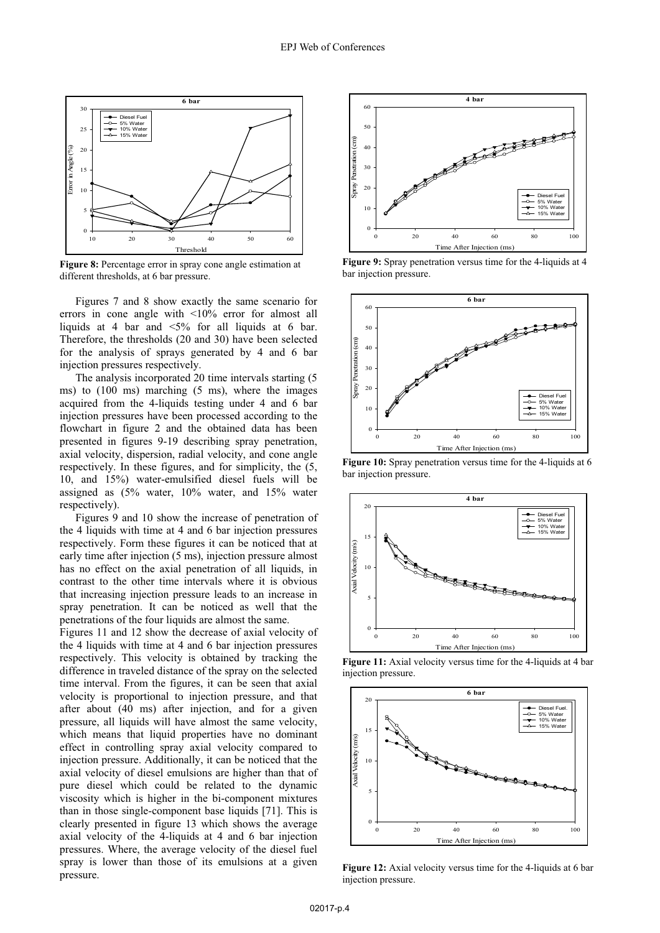

**Figure 8:** Percentage error in spray cone angle estimation at different thresholds, at 6 bar pressure.

Figures 7 and 8 show exactly the same scenario for errors in cone angle with <10% error for almost all liquids at 4 bar and <5% for all liquids at 6 bar. Therefore, the thresholds (20 and 30) have been selected for the analysis of sprays generated by 4 and 6 bar injection pressures respectively.

The analysis incorporated 20 time intervals starting (5 ms) to (100 ms) marching (5 ms), where the images acquired from the 4-liquids testing under 4 and 6 bar injection pressures have been processed according to the flowchart in figure 2 and the obtained data has been presented in figures 9-19 describing spray penetration, axial velocity, dispersion, radial velocity, and cone angle respectively. In these figures, and for simplicity, the (5, 10, and 15%) water-emulsified diesel fuels will be assigned as (5% water, 10% water, and 15% water respectively).

Figures 9 and 10 show the increase of penetration of the 4 liquids with time at 4 and 6 bar injection pressures respectively. Form these figures it can be noticed that at early time after injection (5 ms), injection pressure almost has no effect on the axial penetration of all liquids, in contrast to the other time intervals where it is obvious that increasing injection pressure leads to an increase in spray penetration. It can be noticed as well that the penetrations of the four liquids are almost the same.

Figures 11 and 12 show the decrease of axial velocity of the 4 liquids with time at 4 and 6 bar injection pressures respectively. This velocity is obtained by tracking the difference in traveled distance of the spray on the selected time interval. From the figures, it can be seen that axial velocity is proportional to injection pressure, and that after about (40 ms) after injection, and for a given pressure, all liquids will have almost the same velocity, which means that liquid properties have no dominant effect in controlling spray axial velocity compared to injection pressure. Additionally, it can be noticed that the axial velocity of diesel emulsions are higher than that of pure diesel which could be related to the dynamic viscosity which is higher in the bi-component mixtures than in those single-component base liquids [71]. This is clearly presented in figure 13 which shows the average axial velocity of the 4-liquids at 4 and 6 bar injection pressures. Where, the average velocity of the diesel fuel spray is lower than those of its emulsions at a given pressure.



**Figure 9:** Spray penetration versus time for the 4-liquids at 4 bar injection pressure.



**Figure 10:** Spray penetration versus time for the 4-liquids at 6 bar injection pressure.



**Figure 11:** Axial velocity versus time for the 4-liquids at 4 bar injection pressure.



**Figure 12:** Axial velocity versus time for the 4-liquids at 6 bar injection pressure.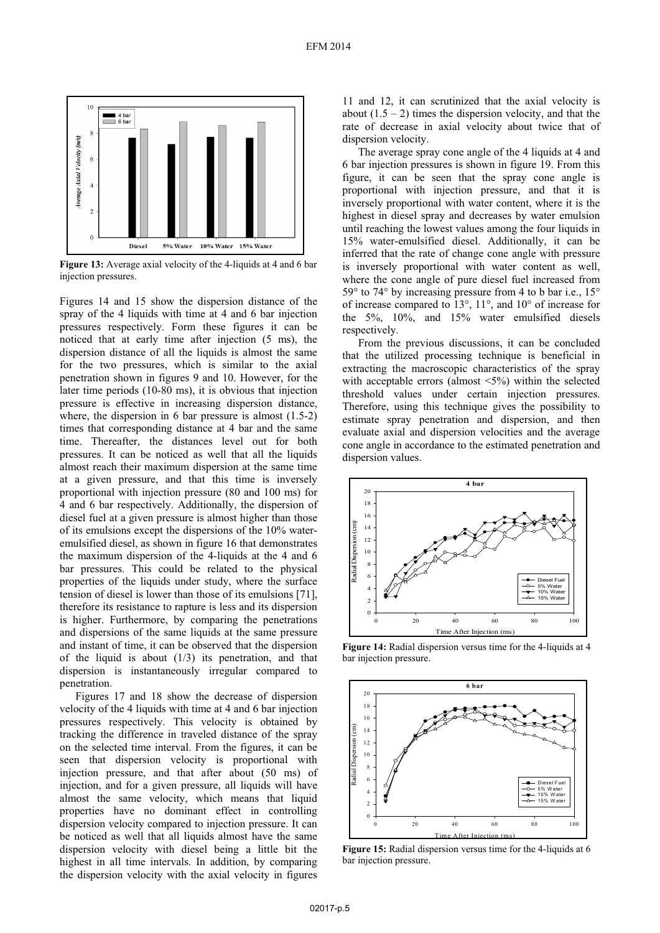![](_page_4_Figure_1.jpeg)

**Figure 13:** Average axial velocity of the 4-liquids at 4 and 6 bar injection pressures.

Figures 14 and 15 show the dispersion distance of the spray of the 4 liquids with time at 4 and 6 bar injection pressures respectively. Form these figures it can be noticed that at early time after injection (5 ms), the dispersion distance of all the liquids is almost the same for the two pressures, which is similar to the axial penetration shown in figures 9 and 10. However, for the later time periods (10-80 ms), it is obvious that injection pressure is effective in increasing dispersion distance, where, the dispersion in 6 bar pressure is almost (1.5-2) times that corresponding distance at 4 bar and the same time. Thereafter, the distances level out for both pressures. It can be noticed as well that all the liquids almost reach their maximum dispersion at the same time at a given pressure, and that this time is inversely proportional with injection pressure (80 and 100 ms) for 4 and 6 bar respectively. Additionally, the dispersion of diesel fuel at a given pressure is almost higher than those of its emulsions except the dispersions of the 10% wateremulsified diesel, as shown in figure 16 that demonstrates the maximum dispersion of the 4-liquids at the 4 and 6 bar pressures. This could be related to the physical properties of the liquids under study, where the surface tension of diesel is lower than those of its emulsions [71], therefore its resistance to rapture is less and its dispersion is higher. Furthermore, by comparing the penetrations and dispersions of the same liquids at the same pressure and instant of time, it can be observed that the dispersion of the liquid is about  $(1/3)$  its penetration, and that dispersion is instantaneously irregular compared to penetration.

Figures 17 and 18 show the decrease of dispersion velocity of the 4 liquids with time at 4 and 6 bar injection pressures respectively. This velocity is obtained by tracking the difference in traveled distance of the spray on the selected time interval. From the figures, it can be seen that dispersion velocity is proportional with injection pressure, and that after about (50 ms) of injection, and for a given pressure, all liquids will have almost the same velocity, which means that liquid properties have no dominant effect in controlling dispersion velocity compared to injection pressure. It can be noticed as well that all liquids almost have the same dispersion velocity with diesel being a little bit the highest in all time intervals. In addition, by comparing the dispersion velocity with the axial velocity in figures

11 and 12, it can scrutinized that the axial velocity is about  $(1.5 - 2)$  times the dispersion velocity, and that the rate of decrease in axial velocity about twice that of dispersion velocity.

The average spray cone angle of the 4 liquids at 4 and 6 bar injection pressures is shown in figure 19. From this figure, it can be seen that the spray cone angle is proportional with injection pressure, and that it is inversely proportional with water content, where it is the highest in diesel spray and decreases by water emulsion until reaching the lowest values among the four liquids in 15% water-emulsified diesel. Additionally, it can be inferred that the rate of change cone angle with pressure is inversely proportional with water content as well, where the cone angle of pure diesel fuel increased from 59° to 74° by increasing pressure from 4 to b bar i.e., 15° of increase compared to 13°, 11°, and 10° of increase for the 5%, 10%, and 15% water emulsified diesels respectively.

From the previous discussions, it can be concluded that the utilized processing technique is beneficial in extracting the macroscopic characteristics of the spray with acceptable errors (almost <5%) within the selected threshold values under certain injection pressures. Therefore, using this technique gives the possibility to estimate spray penetration and dispersion, and then evaluate axial and dispersion velocities and the average cone angle in accordance to the estimated penetration and dispersion values.

![](_page_4_Figure_8.jpeg)

**Figure 14:** Radial dispersion versus time for the 4-liquids at 4 bar injection pressure.

![](_page_4_Figure_10.jpeg)

**Figure 15:** Radial dispersion versus time for the 4-liquids at 6 bar injection pressure.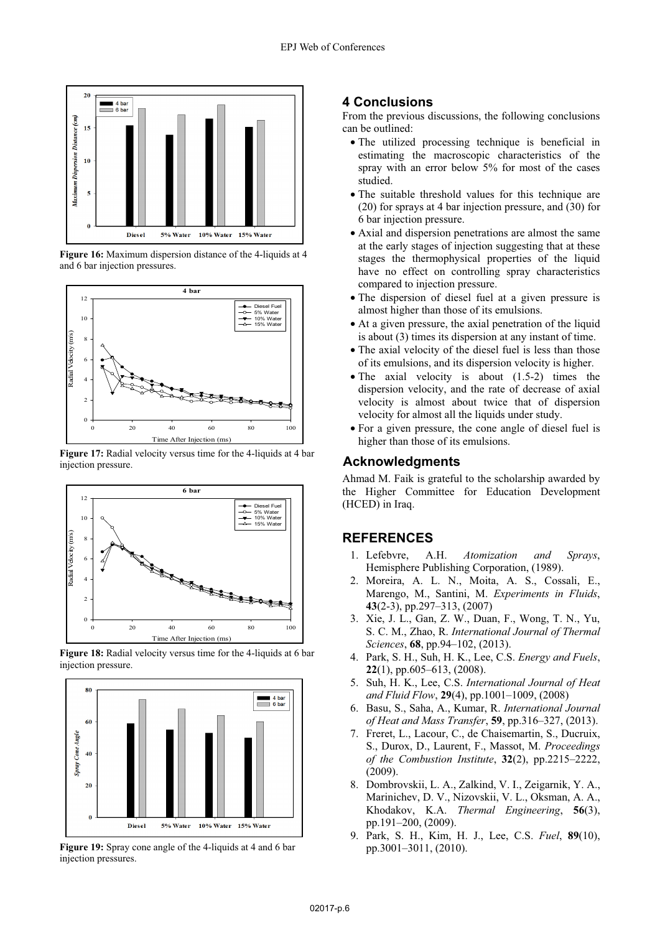![](_page_5_Figure_1.jpeg)

**Figure 16:** Maximum dispersion distance of the 4-liquids at 4 and 6 bar injection pressures.

![](_page_5_Figure_3.jpeg)

**Figure 17:** Radial velocity versus time for the 4-liquids at 4 bar injection pressure.

![](_page_5_Figure_5.jpeg)

**Figure 18:** Radial velocity versus time for the 4-liquids at 6 bar injection pressure.

![](_page_5_Figure_7.jpeg)

**Figure 19:** Spray cone angle of the 4-liquids at 4 and 6 bar injection pressures.

#### **4 Conclusions**

From the previous discussions, the following conclusions can be outlined:

- The utilized processing technique is beneficial in estimating the macroscopic characteristics of the spray with an error below 5% for most of the cases studied.
- The suitable threshold values for this technique are (20) for sprays at 4 bar injection pressure, and (30) for 6 bar injection pressure.
- Axial and dispersion penetrations are almost the same at the early stages of injection suggesting that at these stages the thermophysical properties of the liquid have no effect on controlling spray characteristics compared to injection pressure.
- The dispersion of diesel fuel at a given pressure is almost higher than those of its emulsions.
- At a given pressure, the axial penetration of the liquid is about (3) times its dispersion at any instant of time.
- The axial velocity of the diesel fuel is less than those of its emulsions, and its dispersion velocity is higher.
- The axial velocity is about (1.5-2) times the dispersion velocity, and the rate of decrease of axial velocity is almost about twice that of dispersion velocity for almost all the liquids under study.
- For a given pressure, the cone angle of diesel fuel is higher than those of its emulsions.

#### **Acknowledgments**

Ahmad M. Faik is grateful to the scholarship awarded by the Higher Committee for Education Development (HCED) in Iraq.

# **REFERENCES**

- 1. Lefebvre, A.H. *Atomization and Sprays*, Hemisphere Publishing Corporation, (1989).
- 2. Moreira, A. L. N., Moita, A. S., Cossali, E., Marengo, M., Santini, M. *Experiments in Fluids*, **43**(2-3), pp.297–313, (2007)
- 3. Xie, J. L., Gan, Z. W., Duan, F., Wong, T. N., Yu, S. C. M., Zhao, R. *International Journal of Thermal Sciences*, **68**, pp.94–102, (2013).
- 4. Park, S. H., Suh, H. K., Lee, C.S. *Energy and Fuels*, **22**(1), pp.605–613, (2008).
- 5. Suh, H. K., Lee, C.S. *International Journal of Heat and Fluid Flow*, **29**(4), pp.1001–1009, (2008)
- 6. Basu, S., Saha, A., Kumar, R. *International Journal of Heat and Mass Transfer*, **59**, pp.316–327, (2013).
- 7. Freret, L., Lacour, C., de Chaisemartin, S., Ducruix, S., Durox, D., Laurent, F., Massot, M. *Proceedings of the Combustion Institute*, **32**(2), pp.2215–2222, (2009).
- 8. Dombrovskii, L. A., Zalkind, V. I., Zeigarnik, Y. A., Marinichev, D. V., Nizovskii, V. L., Oksman, A. A., Khodakov, K.A. *Thermal Engineering*, **56**(3), pp.191–200, (2009).
- 9. Park, S. H., Kim, H. J., Lee, C.S. *Fuel*, **89**(10), pp.3001–3011, (2010).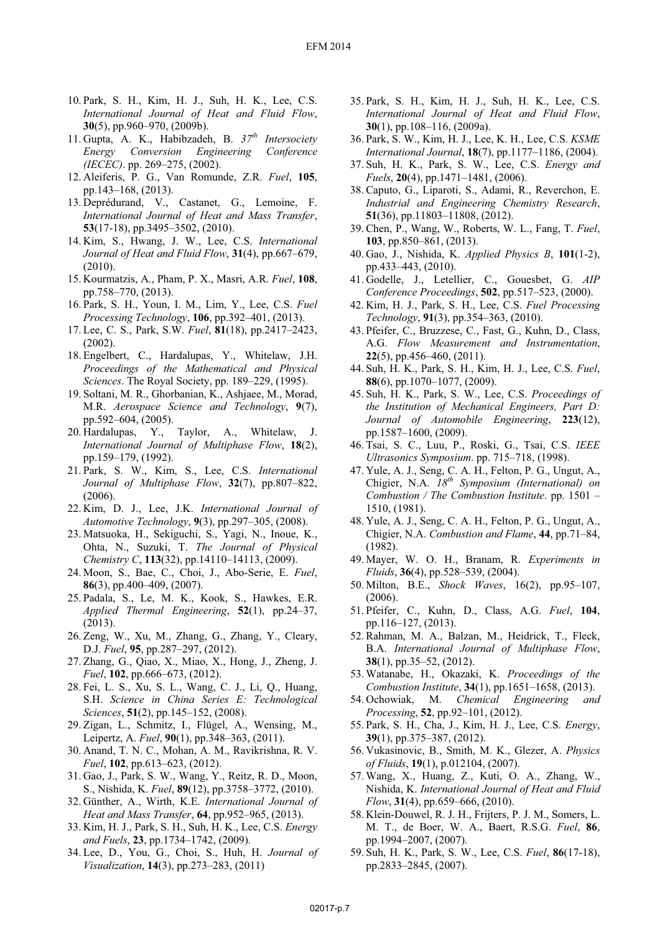- 10. Park, S. H., Kim, H. J., Suh, H. K., Lee, C.S. *International Journal of Heat and Fluid Flow*, **30**(5), pp.960–970, (2009b).
- 11. Gupta, A. K., Habibzadeh, B. *37th Intersociety Energy Conversion Engineering Conference (IECEC)*. pp. 269–275, (2002).
- 12. Aleiferis, P. G., Van Romunde, Z.R. *Fuel*, **105**, pp.143–168, (2013).
- 13. Deprédurand, V., Castanet, G., Lemoine, F. *International Journal of Heat and Mass Transfer*, **53**(17-18), pp.3495–3502, (2010).
- 14. Kim, S., Hwang, J. W., Lee, C.S. *International Journal of Heat and Fluid Flow*, **31**(4), pp.667–679, (2010).
- 15. Kourmatzis, A., Pham, P. X., Masri, A.R. *Fuel*, **108**, pp.758–770, (2013).
- 16. Park, S. H., Youn, I. M., Lim, Y., Lee, C.S. *Fuel Processing Technology*, **106**, pp.392–401, (2013).
- 17. Lee, C. S., Park, S.W. *Fuel*, **81**(18), pp.2417–2423, (2002).
- 18. Engelbert, C., Hardalupas, Y., Whitelaw, J.H. *Proceedings of the Mathematical and Physical Sciences*. The Royal Society, pp. 189–229, (1995).
- 19. Soltani, M. R., Ghorbanian, K., Ashjaee, M., Morad, M.R. *Aerospace Science and Technology*, **9**(7), pp.592–604, (2005).
- 20. Hardalupas, Y., Taylor, A., Whitelaw, J. *International Journal of Multiphase Flow*, **18**(2), pp.159–179, (1992).
- 21. Park, S. W., Kim, S., Lee, C.S. *International Journal of Multiphase Flow*, **32**(7), pp.807–822, (2006).
- 22. Kim, D. J., Lee, J.K. *International Journal of Automotive Technology*, **9**(3), pp.297–305, (2008).
- 23. Matsuoka, H., Sekiguchi, S., Yagi, N., Inoue, K., Ohta, N., Suzuki, T. *The Journal of Physical Chemistry C*, **113**(32), pp.14110–14113, (2009).
- 24. Moon, S., Bae, C., Choi, J., Abo-Serie, E. *Fuel*, **86**(3), pp.400–409, (2007).
- 25. Padala, S., Le, M. K., Kook, S., Hawkes, E.R. *Applied Thermal Engineering*, **52**(1), pp.24–37, (2013).
- 26. Zeng, W., Xu, M., Zhang, G., Zhang, Y., Cleary, D.J. *Fuel*, **95**, pp.287–297, (2012).
- 27. Zhang, G., Qiao, X., Miao, X., Hong, J., Zheng, J. *Fuel*, **102**, pp.666–673, (2012).
- 28. Fei, L. S., Xu, S. L., Wang, C. J., Li, Q., Huang, S.H. *Science in China Series E: Technological Sciences*, **51**(2), pp.145–152, (2008).
- 29. Zigan, L., Schmitz, I., Flügel, A., Wensing, M., Leipertz, A. *Fuel*, **90**(1), pp.348–363, (2011).
- 30. Anand, T. N. C., Mohan, A. M., Ravikrishna, R. V. *Fuel*, **102**, pp.613–623, (2012).
- 31. Gao, J., Park, S. W., Wang, Y., Reitz, R. D., Moon, S., Nishida, K. *Fuel*, **89**(12), pp.3758–3772, (2010).
- 32. Günther, A., Wirth, K.E. *International Journal of Heat and Mass Transfer*, **64**, pp.952–965, (2013).
- 33. Kim, H. J., Park, S. H., Suh, H. K., Lee, C.S. *Energy and Fuels*, **23**, pp.1734–1742, (2009).
- 34. Lee, D., You, G., Choi, S., Huh, H. *Journal of Visualization*, **14**(3), pp.273–283, (2011)
- 35. Park, S. H., Kim, H. J., Suh, H. K., Lee, C.S. *International Journal of Heat and Fluid Flow*, **30**(1), pp.108–116, (2009a).
- 36. Park, S. W., Kim, H. J., Lee, K. H., Lee, C.S. *KSME International Journal*, **18**(7), pp.1177–1186, (2004).
- 37. Suh, H. K., Park, S. W., Lee, C.S. *Energy and Fuels*, **20**(4), pp.1471–1481, (2006).
- 38. Caputo, G., Liparoti, S., Adami, R., Reverchon, E. *Industrial and Engineering Chemistry Research*, **51**(36), pp.11803–11808, (2012).
- 39. Chen, P., Wang, W., Roberts, W. L., Fang, T. *Fuel*, **103**, pp.850–861, (2013).
- 40. Gao, J., Nishida, K. *Applied Physics B*, **101**(1-2), pp.433–443, (2010).
- 41. Godelle, J., Letellier, C., Gouesbet, G. *AIP Conference Proceedings*, **502**, pp.517–523, (2000).
- 42. Kim, H. J., Park, S. H., Lee, C.S. *Fuel Processing Technology*, **91**(3), pp.354–363, (2010).
- 43. Pfeifer, C., Bruzzese, C., Fast, G., Kuhn, D., Class, A.G. *Flow Measurement and Instrumentation*, **22**(5), pp.456–460, (2011).
- 44. Suh, H. K., Park, S. H., Kim, H. J., Lee, C.S. *Fuel*, **88**(6), pp.1070–1077, (2009).
- 45. Suh, H. K., Park, S. W., Lee, C.S. *Proceedings of the Institution of Mechanical Engineers, Part D: Journal of Automobile Engineering*, **223**(12), pp.1587–1600, (2009).
- 46. Tsai, S. C., Luu, P., Roski, G., Tsai, C.S. *IEEE Ultrasonics Symposium*. pp. 715–718, (1998).
- 47. Yule, A. J., Seng, C. A. H., Felton, P. G., Ungut, A., Chigier, N.A. *18th Symposium (International) on Combustion / The Combustion Institute*. pp. 1501 – 1510, (1981).
- 48. Yule, A. J., Seng, C. A. H., Felton, P. G., Ungut, A., Chigier, N.A. *Combustion and Flame*, **44**, pp.71–84, (1982).
- 49. Mayer, W. O. H., Branam, R. *Experiments in Fluids*, **36**(4), pp.528–539, (2004).
- 50. Milton, B.E., *Shock Waves*, 16(2), pp.95–107, (2006).
- 51. Pfeifer, C., Kuhn, D., Class, A.G. *Fuel*, **104**, pp.116–127, (2013).
- 52. Rahman, M. A., Balzan, M., Heidrick, T., Fleck, B.A. *International Journal of Multiphase Flow*, **38**(1), pp.35–52, (2012).
- 53. Watanabe, H., Okazaki, K. *Proceedings of the Combustion Institute*, **34**(1), pp.1651–1658, (2013).
- 54. Ochowiak, M. *Chemical Engineering and Processing*, **52**, pp.92–101, (2012).
- 55. Park, S. H., Cha, J., Kim, H. J., Lee, C.S. *Energy*, **39**(1), pp.375–387, (2012).
- 56. Vukasinovic, B., Smith, M. K., Glezer, A. *Physics of Fluids*, **19**(1), p.012104, (2007).
- 57. Wang, X., Huang, Z., Kuti, O. A., Zhang, W., Nishida, K. *International Journal of Heat and Fluid Flow*, **31**(4), pp.659–666, (2010).
- 58. Klein-Douwel, R. J. H., Frijters, P. J. M., Somers, L. M. T., de Boer, W. A., Baert, R.S.G. *Fuel*, **86**, pp.1994–2007, (2007).
- 59. Suh, H. K., Park, S. W., Lee, C.S. *Fuel*, **86**(17-18), pp.2833–2845, (2007).